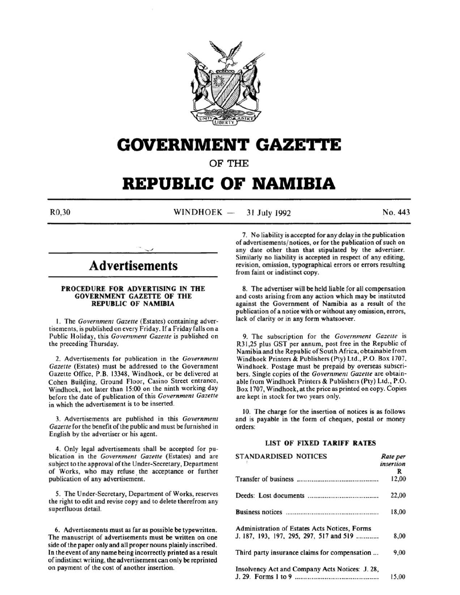

## **GOVERNMENT GAZETTE**

OF THE

# **REPUBLIC OF NAMIBIA**

 $R0,30$  WINDHOEK  $-$ 31 July 1992 No. 443

## **Advertisements**

#### PROCEDURE FOR ADVERTISING IN THE GOVERNMENT GAZETTE OF THE REPUBLIC OF NAMIBIA

I. The *Government Gazette* (Estates) containing advertisements, is published on every Friday. If a Friday falls on a Public Holiday, this *Government Gazette* is published on the preceding Thursday.

2. Advertisements for publication in the *Government Gazette* (Estates) must be addressed to the Government Gazette Office, P.B. 13348, Windhoek, or be delivered at Cohen Building, Ground Floor, Casino Street entrance, Windhoek, not later than 15:00 on the ninth working day before the date of publication of this *Government Gazette*  in which the advertisement is to be inserted.

3. Advertisements are published in this *Government Gazette* for the benefit of the public and must be furnished in English by the advertiser or his agent.

4. Only legal advertisements shall be accepted for publication in the *Government Gazette* (Estates) and are subject to the approval of the Under-Secretary, Department of Works, who may refuse the acceptance or further publication of any advertisement.

5. The Under-Secretary, Department of Works, reserves the right to edit and revise copy and to delete therefrom any superfluous detail.

6. Advertisements must as far as possible be typewritten. The manuscript of advertisements must be written on one side of the paper only and all proper nouns plainly inscribed. In the event of any name being incorrectly printed as a result of indistinct writing, the advertisement can only be reprinted on payment of the cost of another insertion.

7. No liability is accepted for any delay in the publication of advertisements/ notices, or for the publication of such on any date other than that stipulated by the advertiser. Similarly no liability is accepted in respect of any editing, revision, omission, typographical errors or errors resulting from faint or indistinct copy.

8. The advertiser will be held liable for all compensation and costs arising from any action which may be instituted against the Government of Namibia as a result of the publication of a notice with or without any omission, errors, lack of clarity or in any form whatsoever.

9. The subscription for the *Government Gazette* is R31 ,25 plus GST per annum, post free in the Republic of Namibia and the Republic of South Africa, obtainable from Windhoek Printers & Publishers (Pty) Ltd., P.O. Box 1707. Windhoek. Postage must be prepaid by overseas subscribers. Single copies of the *Government Gazette* are obtainable from Windhoek Printers & Publishers (Pty) Ltd., P.O. Box 1707, Windhoek, at the price as printed on copy. Copies are kept in stock for two years only.

10. The charge for the insertion of notices is as follows and is payable in the form of cheques, postal or money orders:

#### LIST OF FIXED TARIFF RATES

| <b>STANDARDISED NOTICES</b>                     | Rate per  |
|-------------------------------------------------|-----------|
|                                                 | insertion |
|                                                 | R         |
|                                                 | 12,00     |
|                                                 | 22,00     |
|                                                 | 18,00     |
| Administration of Estates Acts Notices, Forms   |           |
| J. 187, 193, 197, 295, 297, 517 and 519         | 8,00      |
| Third party insurance claims for compensation   | 9.00      |
| Insolvency Act and Company Acts Notices: J. 28, |           |
|                                                 | 15.00     |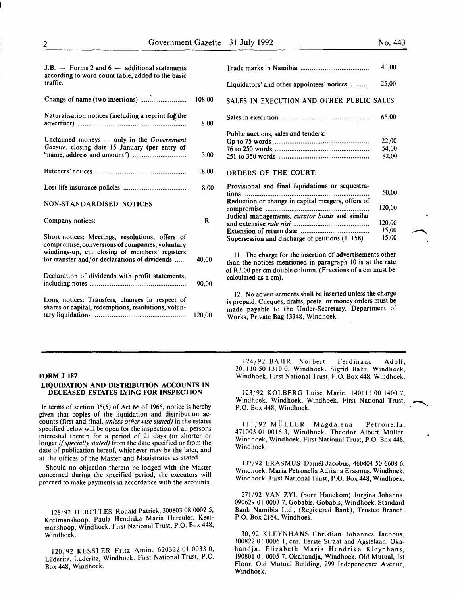| $J.B.$ – Forms 2 and 6 – additional statements<br>according to word count table, added to the basic<br>traffic.                                                                                        |        |
|--------------------------------------------------------------------------------------------------------------------------------------------------------------------------------------------------------|--------|
| Change of name (two insertions)                                                                                                                                                                        | 108.00 |
| Naturalisation notices (including a reprint for the                                                                                                                                                    | 8.00   |
| Unclaimed moneys $-$ only in the Government<br>Gazette, closing date 15 January (per entry of                                                                                                          | 3,00   |
|                                                                                                                                                                                                        | 18,00  |
|                                                                                                                                                                                                        | 8,00   |
| <b>NON-STANDARDISED NOTICES</b>                                                                                                                                                                        |        |
| Company notices:                                                                                                                                                                                       | R      |
| Short notices: Meetings, resolutions, offers of<br>compromise, conversions of companies, voluntary<br>windings-up, et.: closing of members' registers<br>for transfer and/or declarations of dividends | 40,00  |
| Declaration of dividends with profit statements,                                                                                                                                                       | 90,00  |
| Long notices: Transfers, changes in respect of<br>shares or capital, redemptions, resolutions, volun-                                                                                                  | 120,00 |

|                                                                                                                                                                                                                    | 40,00                                       |
|--------------------------------------------------------------------------------------------------------------------------------------------------------------------------------------------------------------------|---------------------------------------------|
| Liquidators' and other appointees' notices                                                                                                                                                                         | 25,00                                       |
| SALES IN EXECUTION AND OTHER PUBLIC SALES:                                                                                                                                                                         |                                             |
|                                                                                                                                                                                                                    | 65,00                                       |
| Public auctions, sales and tenders:<br><b>ORDERS OF THE COURT:</b>                                                                                                                                                 | 22,00<br>54,00<br>82,00                     |
| Provisional and final liquidations or sequestra-<br>Reduction or change in capital mergers, offers of<br>Judical managements, <i>curator bonis</i> and similar<br>Supersession and discharge of petitions (J. 158) | 50,00<br>120,00<br>120,00<br>15,00<br>15,00 |

11. The charge for the insertion of advertisements other than the notices mentioned in paragraph 10 is at the rate of R3,00 per em double column. (Fractions of a em must be calculated as a em).

12. No advertisements shall be inserted unless the charge is prepaid. Cheques, drafts, postal or money orders must be made payable to the Under-Secretary, Department of Works, Private Bag 13348, Windhoek.

#### FORM J 187

#### LIQUIDATION AND DISTRIBUTION ACCOUNTS IN DECEASED ESTATES LYING FOR INSPECTION

In terms of section 35(5) of Act 66 of 1965, notice is hereby given that copies of the liquidation and distribution accounts (first and final, *unless otherwise stated)* in the estates specified below will be open for the inspection of all persons interested therein for a period of 21 days (or shorter or longer if *specially stated)* from the date specified or from the date of publication hereof, whichever may be the later, and at the offices of the Master and Magistrates as stated.

Should no objection thereto be lodged with the Master concerned during the specified period, the executors will proceed to make payments in accordance with the accounts.

128/92 HERCULES Ronald Patrick, 300803 08 0002 5, Keetmanshoop. Paula Hendrika Maria Hercules. Keetmanshoop, Windhoek. First National Trust, P.O. Box 448, Windhoek.

120/92 KESSLER Fritz Amin, 620322 01 0033 0, Liideritz. Liideritz, Windhoek. First National Trust, P.O. Box 448, Windhoek.

124/92 BAHR Norbert Ferdinand Adolf, 301110 50 1310 0, Windhoek. Sigrid Bahr. Windhoek, Windhoek. First National Trust, P.O. Box 448, Windhoek.

123/92 KOLBERG Luise Marie, 140111 00 1400 7, Windhoek. Windhoek, Windhoek. First National Trust, P.O. Box 448, Windhoek.

111/92 MÜLLER Magdalena Petronella, 471003 01 0016 3, Windhoek. Theodor Albert Muller. Windhoek, Windhoek. First National Trust, P.O. Box 448, Windhoek.

137/92 ERASMUS Daniel Jacobus, 460404 *50* 6608 6, Windhoek. Maria Petronella Adriana Erasmus. Windhoek, Windhoek. First National Trust, P.O. Box 448, Windhoek.

271/92 VAN ZYL (born Hanekom) Jurgina Johanna, 090629 01 0003 7, Gobabis. Gobabis, Windhoek. Standard Bank Namibia Ltd., (Registered Bank), Trustee Branch, P.O. Box 2164, Windhoek.

30/92 KLEYNHANS Christian Johannes Jacobus, 100822 01 0006 1, cnr. Eerste Straat and Agstelaan, Okahandja. Elizabeth Maria Hendrika Kleynhans, 190801 01 0005 7. Okahandja, Windhoek. Old Mutual, 1st Floor, Old Mutual Building, 299 Independence Avenue, Windhoek.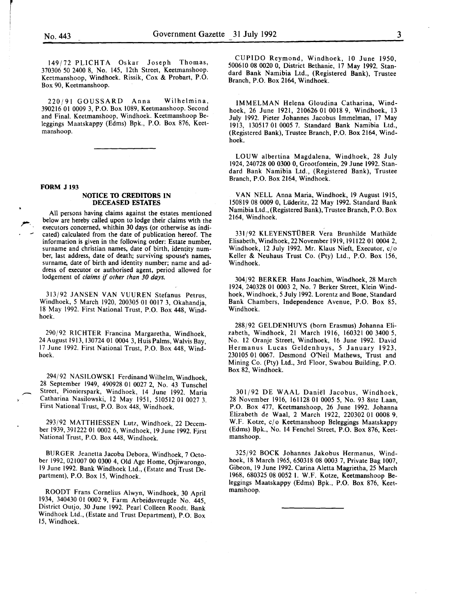r<br>Fransk konge<br>Fransk konge

149/72 PLICHTA Oskar Joseph Thomas, 370306 50 2400 8, No. 145, 12th Street, Keetmanshoop. Keetmanshoop, Windhoek. Rissik, Cox & Probart, P.O. Box 90, Keetmanshoop.

220/91 GOUSSARD Anna Wilhelmina, 390216 01 0009 3, P.O. Box 1089, Keetmanshoop. Second and Final. Keetmanshoop, Windhoek. Keetmanshoop Beleggings Maatskappy (Edms) Bpk., P.O. Box 876, Keetmanshoop.

#### FORM J 193

#### NOTICE TO CREDITORS IN DECEASED ESTATES

All persons having claims against the estates mentioned below are hereby called upon to lodge their claims with the executors concerned, whithin 30 days (or otherwise as indicated) calculated from the date of publication hereof. The information is given in the following order: Estate number, surname and christian names, date of birth, identity number, last address, date of death; surviving spouse's names, surname, date of birth and identity number; name and address of executor or authorised agent, period allowed for lodgement of *claims* if *other than 30 days.* 

313/92 JANSEN VAN VUUREN Stefanus Petrus, Windhoek, *5* March 1920, 200305 01 0017 3, Okahandja, 18 May 1992. First National Trust, P.O. Box 448, Windhoek.

290/92 RICHTER Francina Margaretha, Windhoek, 24 August 1913, 130724 01 0004 3, Huis Palms, Walvis Bay, 17 June 1992. First National Trust, P.O. Box 448, Windhoek.

294/92 NASILOWSKI Ferdinand Wilhelm, Windhoek, 28 September 1949, 490928 01 0027 2, No. 43 Tunschel Street, Pionierspark, Windhoek, 14 June 1992. Maria Catharina Nasilowski, 12 May 1951, 510512 01 0027 3. First National Trust, P.O. Box 448, Windhoek.

293/92 MATTHIESSEN Lutz, Windhoek, 22 December 1939, 391222 01 0002 6, Windhoek, 19 June 1992. First National Trust, P.O. Box 448, Windhoek.

BURGER Jeanetta Jacoba Debora, Windhoek, 7 October 1992, 021007 00 0300 4, Old Age Home, Otjiwarongo, 19 June 1992. Bank Windhoek Ltd., (Estate and Trust Department), P.O. Box 15, Windhoek.

ROODT Frans Cornelius Alwyn, Windhoek, 30 April 1934, 340430 01 0002 9, Farm Arbeidsvreugde No. 445 District Outjo, 30 June 1992. Pearl Colleen Roodt. Bank Windhoek Ltd., (Estate and Trust Department), P.O: Box 15, Windhoek.

CUPIDO Reymond, Windhoek, 10 June 1950, 500610 08 0020 0, District Bethanie, 17 May 1992. Standard Bank Namibia Ltd., (Registered Bank), Trustee Branch, P.O. Box 2164, Windhoek.

IMMELMAN Helena Gloudina Catharina, Windhoek, 26 June 1921, 210626 01 0018 9, Windhoek, 13 July 1992. Pieter Johannes Jacobus Immelman, 17 May 1913, 130517 01 0005 7. Standard Bank Namibia Ltd., (Registered Bank), Trustee Branch, P.O. Box 2164, Windhoek.

LOUW albertina Magdalena, Windhoek, 28 July 1924, 240728 00 0300 0, Grootfontein, 29 June 1992. Standard Bank Namibia Ltd., (Registered Bank), Trustee Branch, P.O. Box 2164, Windhoek.

VAN NELL Anna Maria, Windhoek, 19 August 1915, 150819 08 0009 0, Uideritz, 22 May 1992. Standard Bank Namibia Ltd., (Registered Bank), Trustee Branch, P.O. Box 2164, Windhoek.

331/92 KLEYENSTÜBER Vera Brunhilde Mathilde Elisabeth, Windhoek, 22 November 1919, 191122 01 0004 2, Windhoek, 12 July 1992. Mr. Klaus Nieft, Executor, c/o Keller & Neuhaus Trust Co. (Pty) Ltd., P.O. Box 156, Windhoek.

304/92 BERKER Hans Joachim, Windhoek, 28 March 1924, 240328 01 0003 2, No. 7 Berker Street, Klein Windhoek, Windhoek, *5* July 1992. Lorentz and Bone, Standard Bank Chambers, Independence Avenue, P.O. Box 85, Windhoek.

288/92 GELDENHUYS (born Erasmus) Johanna Elizabeth, Windhoek, 21 March 1916, 160321 00 3400 5, No. 12 Oranje Street, Windhoek, 16 June 1992. David Hermanus Lucas Geldenhuys, *5* January 1923, 230105 01 0067. Desmond O'Neil Mathews, Trust and Mining Co. (Pty) Ltd., 3rd Floor, Swabou Building, P.O. Box 82, Windhoek.

301/92 DE WAAL Daniel Jacobus, Windhoek, 28 November 1916, 16ll28 01 0005 5, No. 93 8ste Laan, P.O. Box 477, Keetmanshoop, 26 June 1992. Johanna Elizabeth de Waal, 2 March 1922, 220302 01 0008 9. W.F. Kotze, c/o Keetmanshoop Beleggings Maatskappy (Edms) Bpk., No. 14 Fenchel Street, P.O. Box 876, Keetmanshoop.

325/92 BOCK Johannes Jakobus Hermanus, Windhoek, 18 March 1965, 650318 08 0003 7, Private Bag 1007, Gibeon, 19 June 1992. Carina Aletta Magrietha, 25 March 1968, 680325 08 0052 I. W.F. Kotze, Keetmanshoop Beleggings Maatskappy (Edms) Bpk., P.O. Box 876, Keetmanshoop.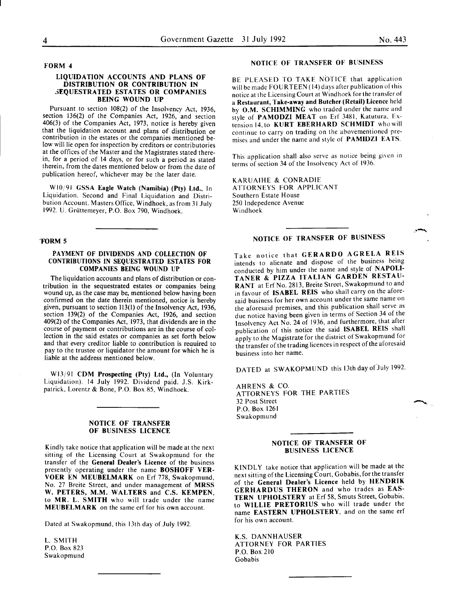#### FORM 4

#### LIQUIDATION ACCOUNTS AND PLANS OF DISTRIBUTION OR CONTRIBUTION IN 3EQUESTRATED ESTATES OR COMPANIES BEING WOUND UP

Pursuant to section 108(2) of the Insolvency Act, 1936, section 136(2) of the Companies Act, 1926, and section 406(3) of the Companies Act, 1973, notice is hereby given that the liquidation account and plans of distribution or contribution in the estates or the companies mentioned below will lie open for inspection by creditors or contributories at the offices of the Master and the Magistrates stated therein, for a period of 14 days, or for such a period as stated therein, from the dates mentioned below or from the date of publication hereof, whichever may be the later date.

Wl0j91 GSSA Eagle Watch (Namibia) (Pty) Ltd., In Liquidation. Second and Final Liquidation and Distribution Account. Masters Office, Windhoek, as from 31 July 1992. lJ. Griittemeyer, P.O. Box 790, Windhoek.

#### 'FORM 5

#### PAYMENT OF DIVIDENDS AND COLLECTION OF CONTRIBUTIONS IN SEQUESTRATED ESTATES FOR COMPANIES BEING WOUND UP

The liquidation accounts and plans of distribution or contribution in the sequestrated estates or companies being wound up, as the case may be, mentioned below having been confirmed on the date therein mentioned, notice is hereby given, pursuant to section 113(1) of the Insolvency Act, 1936, section 139(2) of the Companies Act, 1926, and section 409(2) of the Companies Act, 1973, that dividends are in the course of payment or contributions are in the course of collection in the said estates or companies as set forth below and that every creditor liable to contribution is reauired to pay to the trustee or liquidator the amount for which he is liable at the address mentioned below.

Wl3/91 CDM Prospecting (Pty) Ltd., (In Voluntary Liquidation). 14 July 1992. Dividend paid. J.S. Kirkpatrick, Lorentz & Bone, P.O. Box 85, Windhoek.

#### NOTICE OF TRANSFER OF BUSINESS LICENCE

Kindly take notice that application will be made at the next sitting of the Licensing Court at Swakopmund for the transfer of the General Dealer's Licence of the business presently operating under the name BOSHOFF VER-VOER EN MEUBELMARK on Erf 778, Swakopmund, No. 27 Breite Street, and under management of MRSS W. PETERS, M.M. WALTERS and C.S. KEMPEN, to MR. L. SMITH who will trade under the name MEUBELMARK on the same erf for his own account.

Dated at Swakopmund, this 13th day of July 1992.

L. SMITH P.O. Box 823 Swakopmund

#### NOTICE OF TRANSFER OF BUSINESS

BE PLEASED TO TAKE NOTICE that application will be made FOURTEEN (14) days after publication of this notice at the Licensing Court at Windhoek for the transfer of a Restaurant, Take-away and Butcher (Retail) Licence held by O.M. SCHIMMING who traded under the name and style of PAMODZI MEAT on Erf 3481, Katutura, Extension 14, to KURT EBERHARD SCHMIDT who will continue to carry on trading on the abovementioned premises and under the name and style of PAMIDZI EATS.

This application shall also serve as notice being given in terms of section 34 of the Insolvency Act of 1936.

KARUAIHE & CONRADIE ATTORNEYS FOR APPLICANT Southern Estate House 250 lndepedence Avenue Windhoek

## NOTICE OF TRANSFER OF BUSINESS

Take notice that GERARDO AGRELA REIS intends to alienate and dispose of the business being conducted by him under the name and style of NAPOLI-TANER & PIZZA ITALIAN GARDEN RESTAU-RANT at Erf No. 2813, Breite Street, Swakopmund to and in favour of ISABEL REIS who shall carry on the aforesaid business for her own account under the same name on the aforesaid premises, and this publication shall serve as due notice having been given in terms of Section 34 of the Insolvency Act No. 24 of 1936, and furthermore, that after publication of this notice the said ISABEL REIS shall apply to the Magistrate for the district of Swakopmund for the transfer of the trading licences in respect of the aforesatd business into her name.

DATED at SWAKOPMUND this 13th day of July 1992.

AHRENS & CO. ATTORNEYS FOR THE PARTIES 32 Post Street P.O. Box 1261 Swakopmund

#### NOTICE OF TRANSFER OF BUSINESS LICENCE

KINDLY take notice that application will be made at the next sitting of the Licensing Court, Gobabis, for the transfer of the General Dealer's Licence held by HENDRIK GERHARDUS THERON and who trades as EAS-TERN UPHOLSTERY at Erf 58, Smuts Street, Gobabis, to WILLIE PRETORIUS who will trade under the name EASTERN UPHOLSTERY, and on the same erf for his own account.

K.S. DANNHAUSER ATTORNEY FOR PARTIES P.O. Box 210 Gobabis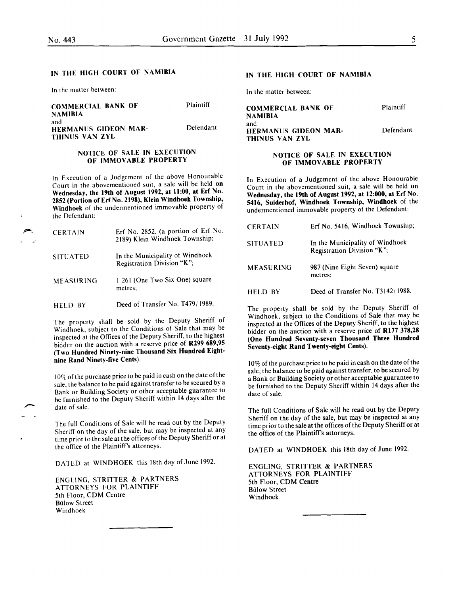#### IN THE HIGH COURT OF NAMIBIA

In the matter between:

| <b>COMMERCIAL BANK OF</b>                            | Plaintiff |
|------------------------------------------------------|-----------|
| <b>NAMIBIA</b>                                       |           |
| and<br><b>HERMANUS GIDEON MAR-</b><br>THINUS VAN ZYL | Defendant |

#### NOTICE OF SALE IN EXECUTION OF IMMOVABLE PROPERTY

In Execution of a Judgement of the above Honourable Court in the abovementioned suit, a sale will be held on Wednesday, the 19th of August 1992, at 11:00, at Erf No. 2852 (Portion of Erf No. 2198), Klein Windhoek Township, Windhoek of the undermentioned immovable property of the Defendant:

| <b>CERTAIN</b>   | Erf No. 2852, (a portion of Erf No.<br>2189) Klein Windhoek Township; |
|------------------|-----------------------------------------------------------------------|
| <b>SITUATED</b>  | In the Municipality of Windhoek<br>Registration Division "K";         |
| <b>MEASURING</b> | 1 261 (One Two Six One) square<br>metres:                             |
| HELD BY          | Deed of Transfer No. T479/1989.                                       |

The property shall be sold by the Deputy Sheriff of Windhoek, subject to the Conditions of Sale that may be mspected at the Offices of the Deputy Sheriff, to the highest bidder on the auction with a reserve price of R299 689,95 (Two Hundred Ninety-nine Thousand Six Hundred Eightnine Rand Ninety-five Cents).

10% of the purchase price to be paid in cash on the date of the sale, the balance to be paid against transfer to be secured by a Bank or Building Society or other acceptable guarantee to be furnished to the Deputy Sheriff within 14 days after the date of sale.

The full Conditions of Sale will be read out by the Deputy Sheriff on the day of the sale, but may be inspected at any time prior to the sale at the offices of the Deputy Sheriff or at the office of the Plaintiff's attorneys.

DATED at WINDHOEK this 18th day of June 1992.

ENGLING, STRITTER & PARTNERS ATTORNEYS FOR PLAINTIFF 5th Floor, COM Centre Bulow Street Windhoek

#### IN THE HIGH COURT OF NAMIBIA

In the matter between:

| <b>COMMERCIAL BANK OF</b>                            | Plaintiff |
|------------------------------------------------------|-----------|
| NAMIBIA                                              |           |
| and<br><b>HERMANUS GIDEON MAR-</b><br>THINUS VAN ZYL | Defendant |

#### NOTICE OF SALE IN EXECUTION OF IMMOVABLE PROPERTY

In Execution of a Judgement of the above Honourable Court in the abovementioned suit, a sale will be held on Wednesday, the 19th of August 1992, at 12:000, at Erf No. 5416, Suiderhof, Windhoek Township, Windhoek of the undermentioned immovable property of the Defendant:

| <b>CERTAIN</b>   | Erf No. 5416, Windhoek Township;                              |
|------------------|---------------------------------------------------------------|
| <b>SITUATED</b>  | In the Municipality of Windhoek<br>Registration Division "K"; |
| <b>MEASURING</b> | 987 (Nine Eight Seven) square<br>metres:                      |
| <b>HELD BY</b>   | Deed of Transfer No. T3142/1988.                              |

The property shall be sold by the Deputy Sheriff of Windhoek, subject to the Conditions of Sale that may be inspected at the Offices of the Deputy Sheriff, to the highest bidder on the auction with a reserve price of  $R177 378,28$ (One Hundred Seventy-seven Thousand Three Hundred Seventy-eight Rand Twenty-eight Cents).

10% of the purchase price to be paid in cash on the date of the sale, the balance to be paid against transfer, to be secured by a Bank or Building Society or other acceptable guarantee to be furmshed to the Deputy Sheriff within 14 days after the date of sale.

The full Conditions of Sale will be read out by the Deputy Sheriff on the day of the sale, but may be inspected at any time prior to the sale at the offices of the Deputy Sheriff or at the office of the Plaintiff's attorneys.

DATED at WINDHOEK this 18th day of June 1992.

ENGLING, STRITTER & PARTNERS ATTORNEYS FOR PLAINTIFF 5th Floor, COM Centre **Bülow Street** Windhoek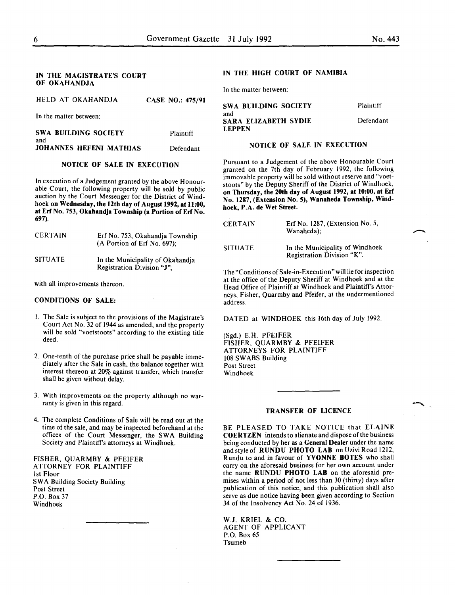#### IN THE MAGISTRATE'S COURT OF OKAHANDJA

| HELD AT OKAHANDJA                  | <b>CASE NO.: 475/91</b> |
|------------------------------------|-------------------------|
| In the matter between:             |                         |
| <b>SWA BUILDING SOCIETY</b><br>and | <b>Plaintiff</b>        |

JOHANNES HEFENI MATHIAS Defendant

## NOTICE OF SALE IN EXECUTION

In execution of a Judgement granted by the above Honourable Court, the following property will be sold by public auction by the Court Messenger for the District of Windhoek on Wednesday, the 12th day of August 1992, at 11:00, at Erf No. 753, Okahandja Township (a Portion of Erf No. 697).

| <b>CERTAIN</b> | Erf No. 753, Okahandja Township<br>(A Portion of Erf No. 697): |
|----------------|----------------------------------------------------------------|
| <b>SITUATE</b> | In the Municipality of Okahandja<br>Registration Division "J"; |

with all improvements thereon.

#### CONDITIONS OF SALE:

- I. The Sale is subject to the provisions of the Magistrate's Court Act No. 32 of 1944 as amended, and the property will be sold "voetstoots" according to the existing title deed.
- 2. One-tenth of the purchase price shall be payable immediately after the Sale in cash, the balance together with interest thereon at 20% against transfer, which transfer shall be given without delay.
- 3. With improvements on the property although no warranty is given in this regard.
- 4. The complete Conditions of Sale will be read out at the time of the sale, and may be inspected beforehand at the offices of the Court Messenger, the SWA Building Society and Plaintiffs attorneys at Windhoek.

FISHER, QUARMBY & PFEIFER ATTORNEY FOR PLAINTIFF 1st Floor SWA Building Society Building Post Street P.O. Box 37 Windhoek

### IN THE HIGH COURT OF NAMIBIA

In the matter between:

| <b>SWA BUILDING SOCIETY</b>                  | Plaintiff |
|----------------------------------------------|-----------|
| and<br>SARA ELIZABETH SYDIE<br><b>LEPPEN</b> | Defendant |

#### NOTICE OF SALE IN EXECUTION

Pursuant to a Judgement of the above Honourable Court granted on the 7th day of February 1992, the following immovable property will be sold without reserve and "voetstoots" by the Deputy Sheriff of the District of Windhoek, on Thursday, the 20th day of August 1992, at 10:00, at Erf No. 1287, (Extension No.5), Wanaheda Township, Windhoek, P.A. de Wet Street.

| <b>CERTAIN</b> | Erf No. 1287, (Extension No. 5,<br>Wanaheda);                 |
|----------------|---------------------------------------------------------------|
| <b>SITUATE</b> | In the Municipality of Windhoek<br>Registration Division "K". |

The "Conditions of Sale-in-Execution" will lie for inspection at the office of the Deputy Sheriff at Windhoek and at the Head Office of Plaintiff at Windhoek and Plaintiff's Attorneys, Fisher, Quarmby and Pfeifer, at the undermentioned address.

DATED at WINDHOEK this 16th day of July 1992.

(Sgd.) E.H. PFEIFER FISHER, QUARMBY & PFEIFER ATTORNEYS FOR PLAINTIFF 108 SWABS Building Post Street Windhoek

#### TRANSFER OF LICENCE

BE PLEASED TO TAKE NOTICE that ELAINE COERTZEN intends to alienate and dispose of the business being conducted by her as a General Dealer under the name and style of RUNDU PHOTO LAB on Uzivi Road 1212, Rundu to and in favour of YVONNE BOTES who shall carry on the aforesaid business for her own account under the name RUNDU PHOTO LAB on the aforesaid premises within a period of not less than 30 (thirty) days after publication of this notice, and this publication shall also serve as due notice having been given according to Section 34 of the Insolvency Act No. 24 of 1936.

W.J. KRIEL & CO. AGENT OF APPLICANT P.O. Box 65 Tsumeb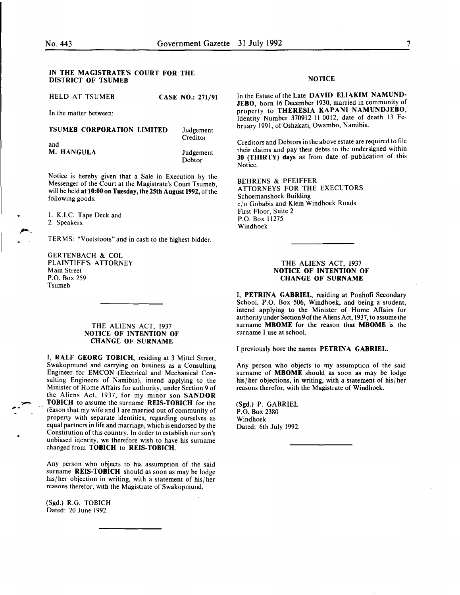#### IN THE MAGISTRATE'S COURT FOR THE DISTRICT OF TSUMEB

HELD AT TSUMEB CASE NO.: 271/91

In the matter between:

#### TSUMEB CORPORATION LIMITED and M. HANGULA Judgement **Creditor** Judgement

Debtor

Notice is hereby given that a Sale in Execution by the Messenger of the Court at the Magistrate's Court Tsumeb, will be held at 10:00 on Tuesday, the 25th August 1992, of the following goods:

I. K.I.C. Tape Deck and 2. Speakers.

..

TERMS: "Voetstoots" and in cash to the highest bidder.

GERTENBACH & COL PLAINTIFF'S ATTORNEY Main Street P.O. Box 259 Tsumeb

#### THE ALIENS ACT, 1937 NOTICE OF INTENTION OF CHANGE OF SURNAME

I, RALF GEORG TOBICH, residing at 3 Mittel Street, Swakopmund and carrying on business as a Consulting Engineer for EMCON (Electrical and Mechanical Consulting Engineers of Namibia), intend applying to the Minister of Home Affairs for authority, under Section 9 of the Aliens Act, 1937, for my minor son SANDOR TOBICH to assume the surname REIS-TOBICH for the reason that my wife and I are married out of community of property with separate identities, regarding ourselves as equal partners in life and marriage; which is endorsed by the Constitution of this country. In order to establish our son's unbiased identity, we therefore wish to have his surname changed from TOBICH to REIS-TOBICH.

Any person who objects to his assumption of the said surname REIS-TOBICH should as soon as may be lodge his/her objection in writing, with a statement of his/her reasons therefor, with the Magistrate of Swakopmund.

(Sgd.) R.G. TOBICH Dated: 20 June 1992.

#### NOTICE

In the Estate of the Late DAVID ELlA KIM NAMUND-JEBO, born 16 December 1930, married in community of property to THERESIA KAPANI NAMUNDJEBO, Identity Number 370912 II 0012, date of death 13 February 1991, of Oshakati, Owambo, Namibia.

Creditors and Debtors in the above estate are required to file their claims and pay their debts to the undersigned within 30 (THIRTY) days as from date of publication of this Notice.

BEHRENS & PFEIFFER ATTORNEYS FOR THE EXECUTORS Schoemanshoek Building cj o Gobabis and Klein Windhoek Roads First Floor, Suite 2 P.O. Box 11275 Windhoek

#### THE ALIENS ACT, 1937 NOTICE OF INTENTION OF CHANGE OF SURNAME

I, PETRINA GABRIEL, residing at Ponhofi Secondary School, P.O. Box 506, Windhoek, and being a student, intend applying to the Minister of Home Affairs for authority under Section 9 of the Aliens Act, 1937, to assume the surname MBOME for the reason that MBOME is the surname I use at school.

I previously bore the names PETRINA GABRIEL.

Any person who objects to my assumption of the said surname of **MBOME** should as soon as may be lodge his/ her objections, in writing, with a statement of his/ her reasons therefor, with the Magistrate of Windhoek.

(Sgd.) P. GABRIEL P.O. Box 2380 Windhoek Dated: 6th July 1992.